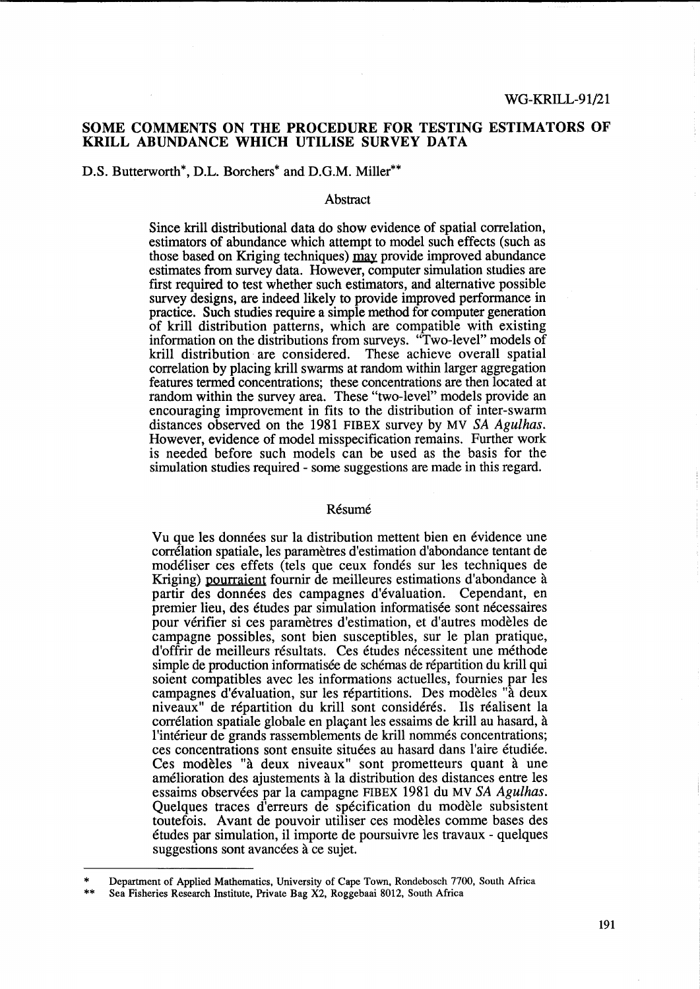# **SOME COMMENTS ON THE PROCEDURE FOR TESTING ESTIMATORS OF KRILL ABUNDANCE WHICH UTILISE SURVEY DATA**

# D.S. Butterworth\*, D.L. Borchers\* and D.G.M. Miller\*\*

#### Abstract

Since krill distributional data do show evidence of spatial correlation, estimators of abundance which attempt to model such effects (such as those based on Kriging techniques)  $\frac{may}{may}$  provide improved abundance estimates from survey data. However, computer simulation studies are first required to test whether such estimators, and alternative possible survey designs, are indeed likely to provide improved performance in practice. Such studies require a simple method for computer generation of krill distribution patterns, which are compatible with existing information on the distributions from surveys. "Two-level" models of krill distribution are considered. These achieve overall spatial correlation by placing krill swarms at random within larger aggregation features termed concentrations; these concentrations are then located at random within the survey area. These "two-level" models provide an encouraging improvement in fits to the distribution of inter-swarm distances observed on the 1981 FIBEX survey by MV *SA Agulhas.*  However, evidence of model misspecification remains. Further work is needed before such models can be used as the basis for the simulation studies required - some suggestions are made in this regard.

### Résumé

Vu que les données sur la distribution mettent bien en évidence une correlation spatiale, les parametres d'estimation d'abondance tentant de modeliser ces effets (tels que ceux fondes sur les techniques de Kriging) pourraient fournir de meilleures estimations d'abondance a partir des données des campagnes d'évaluation. Cependant, en premier lieu, des études par simulation informatisée sont nécessaires pour verifier si ces parametres d'estimation, et d'autres modeles de campagne possibles, sont bien susceptibles, sur le plan pratique, d'offrir de meilleurs résultats. Ces études nécessitent une méthode simple de production informatisée de schémas de répartition du krill qui soient compatibles avec les informations actuelles, fournies par les campagnes d'evaluation, sur les repartitions. Des modeles "a deux niveaux" de répartition du krill sont considérés. Ils réalisent la corrélation spatiale globale en plaçant les essaims de krill au hasard, à l'intérieur de grands rassemblements de krill nommés concentrations; ces concentrations sont ensuite situees au hasard dans l'aire etudiee. Ces modèles "à deux niveaux" sont prometteurs quant à une amelioration des ajustements a la distribution des distances entre les essaims observees par la campagne FIBEX 1981 du MV *SA Agulhas.*  Quelques traces d'erreurs de spécification du modèle subsistent toutefois. A vant de pouvoir utiliser ces modeles comme bases des etudes par simulation, il importe de poursuivre les travaux - quelques suggestions sont avancées à ce sujet.

Department of Applied Mathematics, University of Cape Town, Rondebosch 7700, South Africa

<sup>\*</sup> \*\* Sea Fisheries Research Institute, Private Bag X2, Roggebaai 8012, South Africa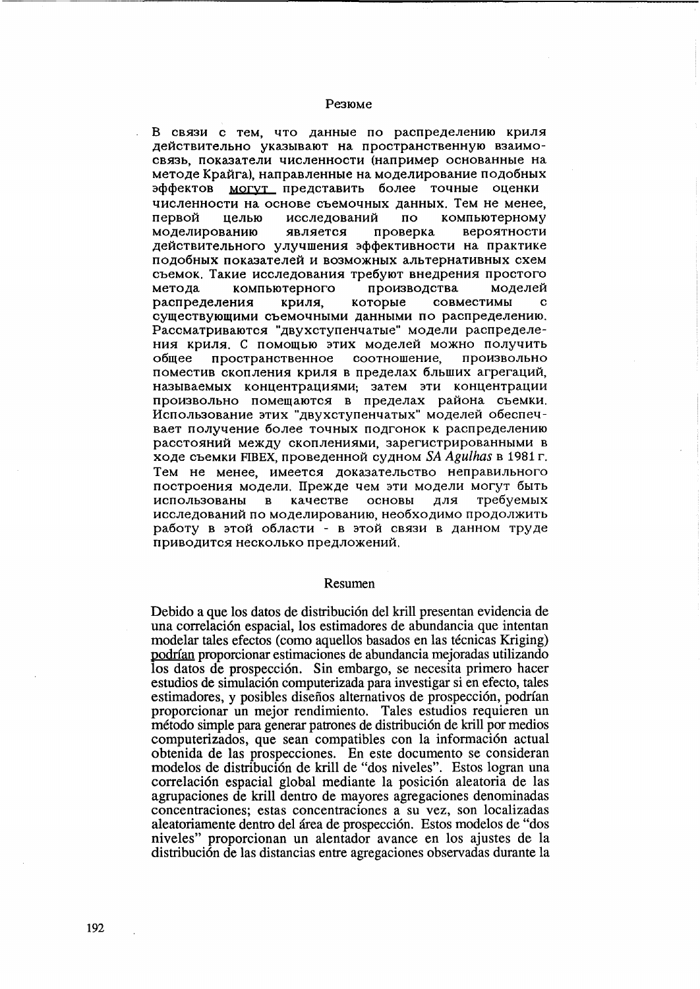#### Резюме

В связи с тем, что данные по распределению криля действительно указывают на пространственную взаимосвязь, показатели численности (например основанные на методе Крайга), направленные на моделирование подобных эффектов могут представить более точные оценки численности на основе съемочных данных. Тем не менее, первой целью исследований  $\overline{a}$ компьютерному моделированию является проверка вероятности действительного улучшения эффективности на практике подобных показателей и возможных альтернативных схем съемок. Такие исследования требуют внедрения простого компьютерного производства метода моделей совместимы распределения криля. которые  $\mathbf C$ существующими съемочными данными по распределению. Рассматриваются "двухступенчатые" модели распределения криля. С помощью этих моделей можно получить пространственное соотношение. произвольно общее поместив скопления криля в пределах бльших агрегаций, называемых концентрациями; затем эти концентрации произвольно помещаются в пределах района съемки. Использование этих "двухступенчатых" моделей обеспечвает получение более точных подгонок к распределению расстояний между скоплениями, зарегистрированными в ходе съемки FIBEX, проведенной судном SA Agulhas в 1981 г. Тем не менее, имеется доказательство неправильного построения модели. Прежде чем эти модели могут быть качестве основы для требуемых использованы в исследований по моделированию, необходимо продолжить работу в этой области - в этой связи в данном труде приводится несколько предложений.

#### Resumen

Debido a que los datos de distribución del krill presentan evidencia de una correlación espacial, los estimadores de abundancia que intentan modelar tales efectos (como aquellos basados en las técnicas Kriging) podrían proporcionar estimaciones de abundancia mejoradas utilizando los datos de prospección. Sin embargo, se necesita primero hacer estudios de simulación computerizada para investigar si en efecto, tales estimadores, y posibles diseños alternativos de prospección, podrían proporcionar un mejor rendimiento. Tales estudios requieren un método simple para generar patrones de distribución de krill por medios computerizados, que sean compatibles con la información actual obtenida de las prospecciones. En este documento se consideran modelos de distribución de krill de "dos niveles". Estos logran una correlación espacial global mediante la posición aleatoria de las agrupaciones de krill dentro de mayores agregaciones denominadas concentraciones; estas concentraciones a su vez, son localizadas aleatoriamente dentro del área de prospección. Estos modelos de "dos niveles" proporcionan un alentador avance en los ajustes de la distribución de las distancias entre agregaciones observadas durante la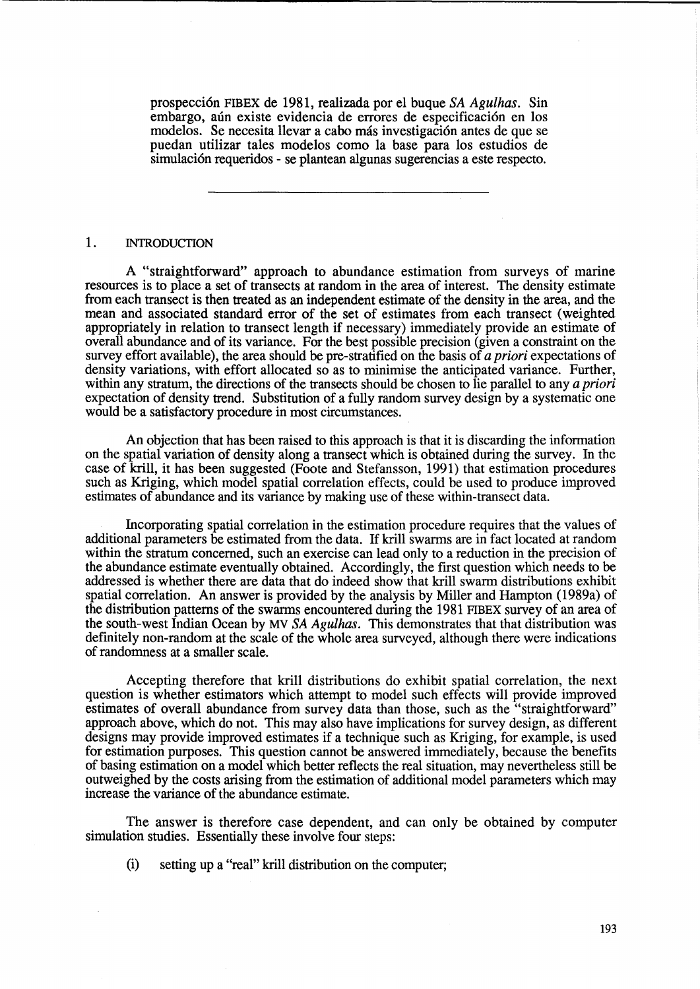prospecci6n FIB EX de 1981, realizada por el buque *SA Agulhas.* Sin embargo, aún existe evidencia de errores de especificación en los modelos. Se necesita llevar a cabo más investigación antes de que se puedan utilizar tales modelos como la base para los estudios de simulación requeridos - se plantean algunas sugerencias a este respecto.

# 1. INTRODUCTION

A "straightforward" approach to abundance estimation from surveys of marine resources is to place a set of transects at random in the area of interest. The density estimate from each transect is then treated as an independent estimate of the density in the area, and the mean and associated standard error of the set of estimates from each transect (weighted appropriately in relation to transect length if necessary) immediately provide an estimate of overall abundance and of its variance. For the best possible precision (given a constraint on the survey effort available), the area should be pre-stratified on the basis of *a priori* expectations of density variations, with effort allocated so as to minimise the anticipated variance. Further, within any stratum, the directions of the transects should be chosen to lie parallel to any *a priori*  expectation of density trend. Substitution of a fully random survey design by a systematic one would be a satisfactory procedure in most circumstances.

An objection that has been raised to this approach is that it is discarding the information on the spatial variation of density along a transect which is obtained during the survey. In the case of krill, it has been suggested (Foote and Stefansson, 1991) that estimation procedures such as Kriging, which model spatial correlation effects, could be used to produce improved estimates of abundance and its variance by making use of these within-transect data.

Incorporating spatial correlation in the estimation procedure requires that the values of additional parameters be estimated from the data. If krill swarms are in fact located at random within the stratum concerned, such an exercise can lead only to a reduction in the precision of the abundance estimate eventually obtained. Accordingly, the first question which needs to be addressed is whether there are data that do indeed show that krill swarm distributions exhibit spatial correlation. An answer is provided by the analysis by Miller and Hampton (1989a) of the distribution patterns of the swarms encountered during the 1981 FIBEX survey of an area of the south-west Indian Ocean by MV *SA Agulhas.* This demonstrates that that distribution was definitely non-random at the scale of the whole area surveyed, although there were indications of randomness at a smaller scale.

Accepting therefore that krill distributions do exhibit spatial correlation, the next question is whether estimators which attempt to model such effects will provide improved estimates of overall abundance from survey data than those, such as the "straightforward" approach above, which do not. This may also have implications for survey design, as different designs may provide improved estimates if a technique such as Kriging, for example, is used for estimation purposes. This question cannot be answered immediately, because the benefits of basing estimation on a model which better reflects the real situation, may nevertheless still be outweighed by the costs arising from the estimation of additional model parameters which may increase the variance of the abundance estimate.

The answer is therefore case dependent, and can only be obtained by computer simulation studies. Essentially these involve four steps:

(i) setting up a "real" krill distribution on the computer;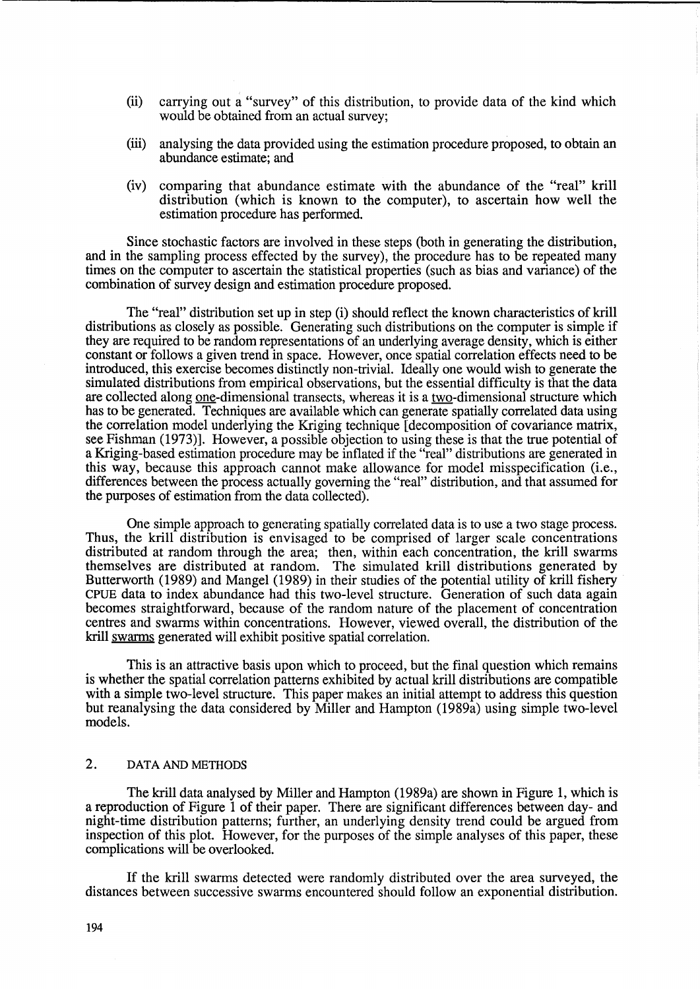- (ii) carrying out a "survey" of this distribution, to provide data of the kind which would be obtained from an actual survey;
- (iii) analysing the data provided using the estimation procedure proposed, to obtain an abundance estimate; and
- (iv) comparing that abundance estimate with the abundance of the "real" krill distribution (which is known to the computer), to ascertain how well the estimation procedure has performed.

Since stochastic factors are involved in these steps (both in generating the distribution, and in the sampling process effected by the survey), the procedure has to be repeated many times on the computer to ascertain the statistical properties (such as bias and variance) of the combination of survey design and estimation procedure proposed.

The "real" distribution set up in step (i) should reflect the known characteristics of krill distributions as closely as possible. Generating such distributions on the computer is simple if they are required to be random representations of an underlying average density, which is either constant or follows a given trend in space. However, once spatial correlation effects need to be introduced, this exercise becomes distinctly non-trivial. Ideally one would wish to generate the simulated distributions from empirical observations, but the essential difficulty is that the data are collected along <u>one</u>-dimensional transects, whereas it is a two-dimensional structure which has to be generated. Techniques are available which can generate spatially correlated data using the correlation model underlying the Kriging technique [decomposition of covariance matrix, see Fishman (1973)]. However, a possible objection to using these is that the true potential of a Kriging-based estimation procedure may be inflated if the "real" distributions are generated in this way, because this approach cannot make allowance for model misspecification (i.e., differences between the process actually governing the "real" distribution, and that assumed for the purposes of estimation from the data collected).

One simple approach to generating spatially correlated data is to use a two stage process. Thus, the krill distribution is envisaged to be comprised of larger scale concentrations distributed at random through the area; then, within each concentration, the krill swarms themselves are distributed at random. The simulated krill distributions generated by Butterworth (1989) and Mangel (1989) in their studies of the potential utility of krill fishery CPUE data to index abundance had this two-level structure. Generation of such data again becomes straightforward, because of the random nature of the placement of concentration centres and swarms within concentrations. However, viewed overall, the distribution of the krill swarms generated will exhibit positive spatial correlation.

This is an attractive basis upon which to proceed, but the final question which remains is whether the spatial correlation patterns exhibited by actual krill distributions are compatible with a simple two-level structure. This paper makes an initial attempt to address this question but reanalysing the data considered by Miller and Hampton (1989a) using simple two-level models.

# 2. DATA AND METHODS

The krill data analysed by Miller and Hampton (1989a) are shown in Figure 1, which is a reproduction of Figure 1 of their paper. There are significant differences between day- and night-time distribution patterns; further, an underlying density trend could be argued from inspection of this plot. However, for the purposes of the simple analyses of this paper, these complications will be overlooked.

If the krill swarms detected were randomly distributed over the area surveyed, the distances between successive swarms encountered should follow an exponential distribution.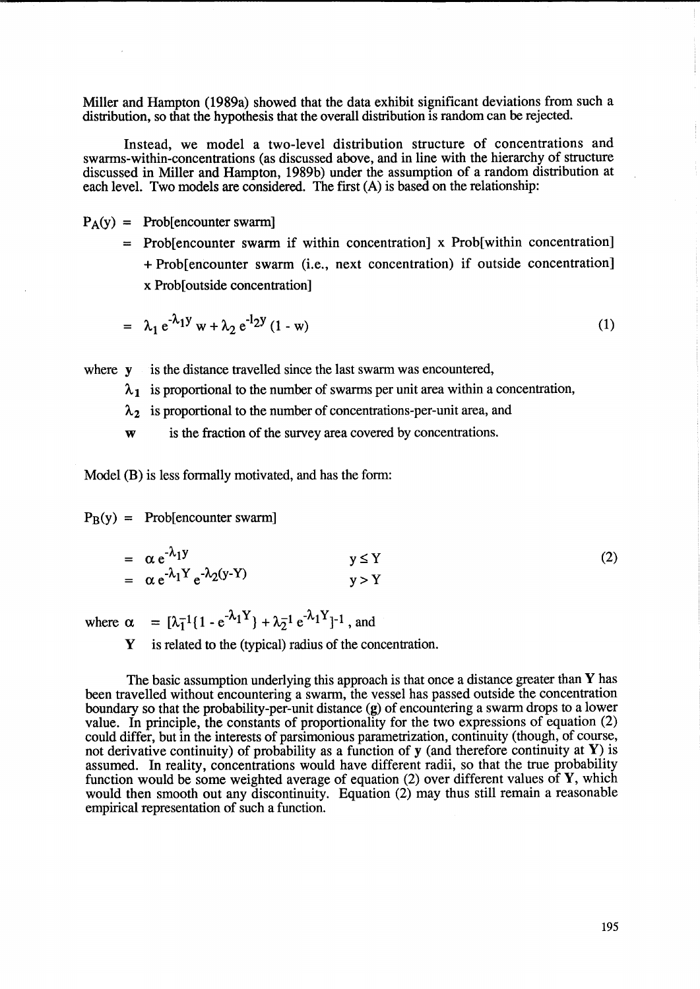Miller and Hampton (1989a) showed that the data exhibit significant deviations from such a distribution, so that the hypothesis that the overall distribution is random can be rejected.

Instead, we model a two-level distribution structure of concentrations and swarms-within-concentrations (as discussed above, and in line with the hierarchy of structure discussed in Miller and Hampton, 1989b) under the assumption of a random distribution at each level. Two models are considered. The first (A) is based on the relationship:

 $P_A(y) =$  Prob[encounter swarm]

= Prob[encounter swarm if within concentration] x Prob[within concentration] + Prob[encounter swarm (i.e., next concentration) if outside concentration] x Prob[outside concentration]

$$
= \lambda_1 e^{-\lambda_1 y} w + \lambda_2 e^{-12y} (1 - w) \tag{1}
$$

where **y** is the distance travelled since the last swarm was encountered,

 $\lambda_1$  is proportional to the number of swarms per unit area within a concentration,

 $\lambda_2$  is proportional to the number of concentrations-per-unit area, and

w is the fraction of the survey area covered by concentrations.

Model (B) is less formally motivated, and has the form:

 $P_B(y) =$  Prob[encounter swarm]

=  $\alpha e^{-\lambda_1 y}$ <br>=  $\alpha e^{-\lambda_1 Y} e^{-\lambda_2 (y-Y)}$ (2)  $y \leq Y$  $v > Y$ 

where  $\alpha = [\lambda_1^{-1} (1 - e^{-\lambda_1 Y}) + \lambda_2^{-1} e^{-\lambda_1 Y}]^{-1}$ , and

Y is related to the (typical) radius of the concentration.

The basic assumption underlying this approach is that once a distance greater than  $Y$  has been travelled without encountering a swarm, the vessel has passed outside the concentration boundary so that the probability-per-unit distance (g) of encountering a swarm drops to a lower value. In principle, the constants of proportionality for the two expressions of equation (2) could differ, but in the interests of parsimonious parametrization, continuity (though, of course, not derivative continuity) of probability as a function of  $y$  (and therefore continuity at Y) is assumed. In reality, concentrations would have different radii, so that the true probability function would be some weighted average of equation (2) over different values of Y, which would then smooth out any discontinuity. Equation (2) may thus still remain a reasonable empirical representation of such a function.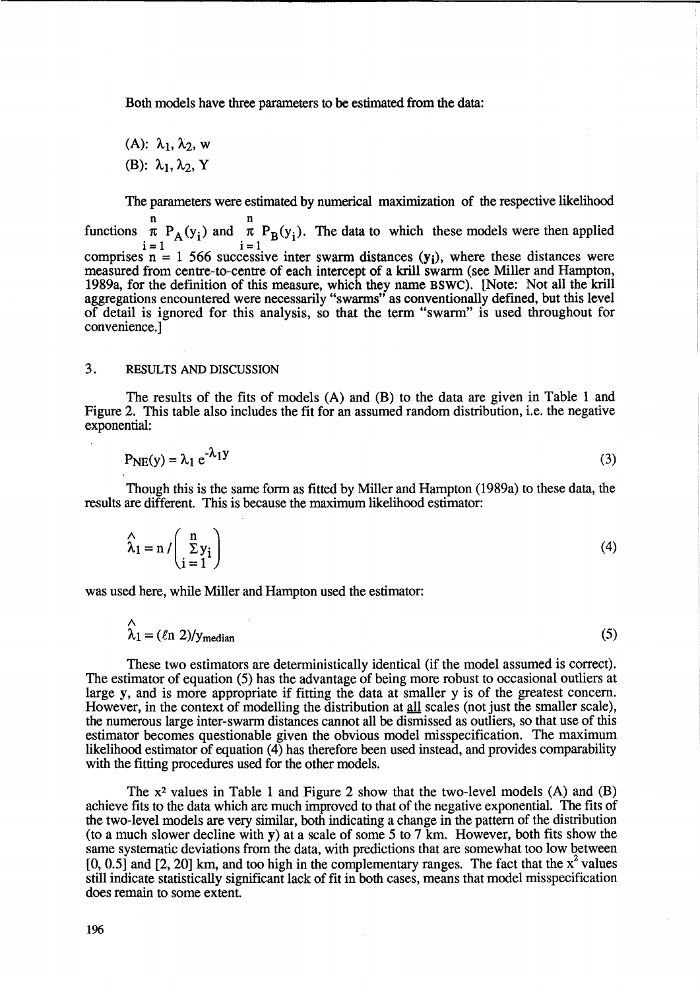Both models have three parameters to be estimated from the data:

 $(A)$ :  $\lambda_1$ ,  $\lambda_2$ , w (B):  $\lambda_1, \lambda_2, Y$ 

The parameters were estimated by numerical maximization of the respective likelihood

n n functions  $\pi$  P<sub>A</sub>(y<sub>i</sub>) and  $\pi$  P<sub>B</sub>(y<sub>i</sub>). The data to which these models were then applied  $i=1$   $\qquad \qquad i=1$ comprises  $n = 1$  566 successive inter swarm distances  $(y<sub>i</sub>)$ , where these distances were measured from centre-to-centre of each intercept of a krill swarm (see Miller and Hampton, 1989a, for the definition of this measure, which they name BSWC). [Note: Not all the kriU aggregations encountered were necessarily "swarms" as conventionally defined, but this level of detail is ignored for this analysis, so that the term "swarm" is used throughout for convenience.]

# 3. RESULTS AND DISCUSSION

The results of the fits of models (A) and (B) to the data are given in Table 1 and Figure 2. This table also includes the fit for an assumed random distribution, i.e. the negative exponential:

$$
P_{NE}(y) = \lambda_1 e^{-\lambda_1 y} \tag{3}
$$

Though this is the same form as fitted by Miller and Hampton (1989a) to these data, the results are different. This is because the maximum likelihood estimator:

$$
\widehat{\lambda}_1 = n / \left( \frac{n}{\sum y_i} \right) \tag{4}
$$

was used here, while Miller and Hampton used the estimator:

$$
\hat{\lambda}_1 = (\ln 2)/y_{\text{median}} \tag{5}
$$

These two estimators are deterministically identical (if the model assumed is correct). The estimator of equation (5) has the advantage of being more robust to occasional outliers at large y, and is more appropriate if fitting the data at smaller y is of the greatest concern. However, in the context of modelling the distribution at all scales (not just the smaller scale), the numerous large inter-swarm distances cannot all be dismissed as outliers, so that use of this estimator becomes questionable given the obvious model misspecification. The maximum likelihood estimator of equation (4) has therefore been used instead, and provides comparability with the fitting procedures used for the other models.

The  $x^2$  values in Table 1 and Figure 2 show that the two-level models (A) and (B) achieve fits to the data which are much improved to that of the negative exponential. The fits of the two-level models are very similar, both indicating a change in the pattern of the distribution (to a much slower decline with y) at a scale of some 5 to 7 km. However, both fits show the same systematic deviations from the data, with predictions that are somewhat too low between  $[0, 0.5]$  and  $[2, 20]$  km, and too high in the complementary ranges. The fact that the  $x^2$  values still indicate statistically significant lack of fit in both cases, means that model misspecification does remain to some extent.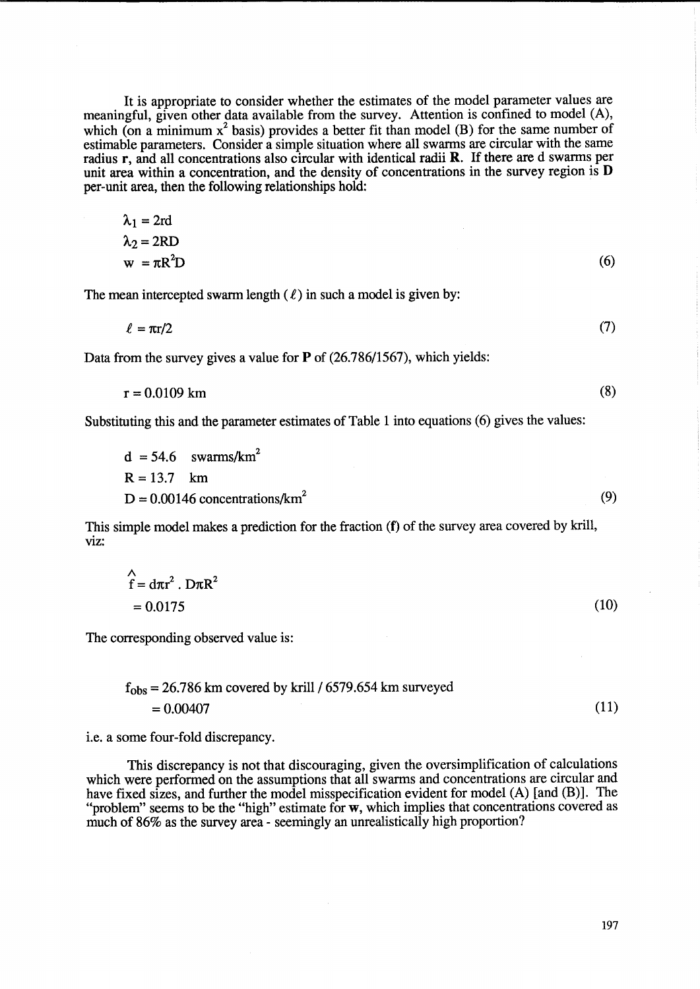It is appropriate to consider whether the estimates of the model parameter values are meaningful, given other data available from the survey. Attention is confined to model (A), which (on a minimum  $x^2$  basis) provides a better fit than model (B) for the same number of estimable parameters. Consider a simple situation where all swarms are circular with the same radius r, and all concentrations also circular with identical radii R. If there are d swarms per unit area within a concentration, and the density of concentrations in the survey region is D per-unit area, then the following relationships hold:

$$
\lambda_1 = 2rd
$$
  
\n
$$
\lambda_2 = 2RD
$$
  
\n
$$
w = \pi R^2 D
$$
 (6)

The mean intercepted swarm length  $(\ell)$  in such a model is given by:

 $\ell = \pi r/2$ (7)

Data from the survey gives a value for P of (26.786/1567), which yields:

$$
r = 0.0109 \text{ km} \tag{8}
$$

Substituting this and the parameter estimates of Table 1 into equations (6) gives the values:

$$
d = 54.6 \quad \text{swarms/km}^2
$$
  
R = 13.7 km  
D = 0.00146 concentrations/km<sup>2</sup> (9)

This simple model makes a prediction for the fraction (f) of the survey area covered by krill, viz:

$$
\begin{aligned}\n\Lambda &= d\pi r^2. D\pi R^2 \\
&= 0.0175\n\end{aligned} (10)
$$

The corresponding observed value is:

$$
f_{\rm obs} = 26.786 \text{ km covered by krill} / 6579.654 \text{ km surveyed} = 0.00407
$$
 (11)

i.e. a some four-fold discrepancy.

This discrepancy is not that discouraging, given the oversimplification of calculations which were performed on the assumptions that all swarms and concentrations are circular and have fixed sizes, and further the model misspecification evident for model (A) [and (B)]. The "problem" seems to be the "high" estimate for w, which implies that concentrations covered as much of 86% as the survey area - seemingly an unrealistically high proportion?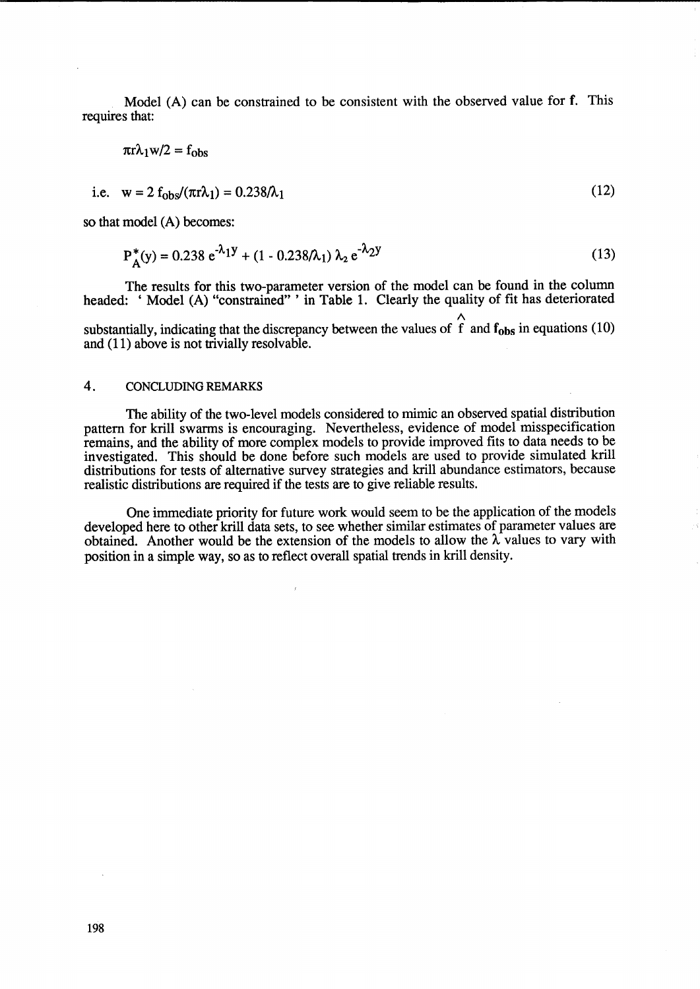Model (A) can be constrained to be consistent with the observed value for f. This requires that:

$$
\pi r \lambda_1 w/2 = f_{obs}
$$
  
i.e.  $w = 2 f_{obs} / (\pi r \lambda_1) = 0.238 / \lambda_1$  (12)

so that model (A) becomes:

$$
P_A^*(y) = 0.238 e^{-\lambda_1 y} + (1 - 0.238/\lambda_1) \lambda_2 e^{-\lambda_2 y}
$$
 (13)

The results for this two-parameter version of the model can be found in the column headed: 'Model (A) "constrained" ' in Table 1. Clearly the quality of fit has deteriorated

*1\*  substantially, indicating that the discrepancy between the values of f and  $f_{obs}$  in equations (10) and (11) above is not trivially resolvable.

### 4. CONCLUDING REMARKS

The ability of the two-level models considered to mimic an observed spatial distribution pattern for krill swarms is encouraging. Nevertheless, evidence of model misspecification remains, and the ability of more complex models to provide improved fits to data needs to be investigated. This should be done before such models are used to provide simulated krill distributions for tests of alternative survey strategies and krill abundance estimators, because realistic distributions are required if the tests are to give reliable results.

One immediate priority for future work would seem to be the application of the models developed here to other krill data sets, to see whether similar estimates of parameter values are obtained. Another would be the extension of the models to allow the  $\lambda$  values to vary with position in a simple way, so as to reflect overall spatial trends in krill density.

 $\overline{I}$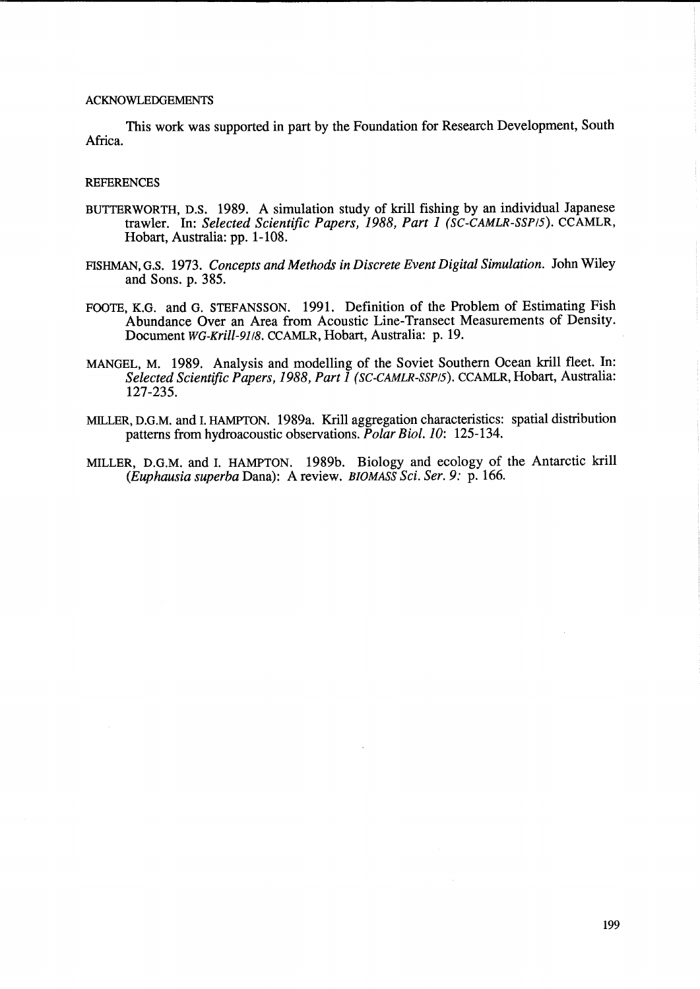### **ACKNOWLEDGEMENTS**

This work was supported in part by the Foundation for Research Development, South Africa.

### **REFERENCES**

- BUTTERWORTH, D.S. 1989. A simulation study of kriU fishing by an individual Japanese trawler. In: *Selected Scientific Papers,* 1988, *Part* 1 *(SC-CAMLR-SSP/S).* CCAMLR, Hobart, Australia: pp. 1-108.
- FISHMAN, G.S. 1973. *Concepts and Methods in Discrete Event Digital Simulation.* John WHey and Sons. p. 385.
- FOOTE, K.G. and G. STEFANSSON. 1991. Definition of the Problem of Estimating Fish Abundance Over an Area from Acoustic Line-Transect Measurements of Density. Document *WG-Krill-9J/S.* CCAMLR, Hobart, Australia: p.19.
- MANGEL, M. 1989. Analysis and modelling of the Soviet Southern Ocean krill fleet. In: *Selected Scientific Papers,* 1988, *Part* 1 *(SC-CAMLR-SSP/s).* CCAMLR, Hobart, Australia: 127-235.
- MILLER, D.G.M. and I. HAMPTON. 1989a. KriU aggregation characteristics: spatial distribution patterns from hydroacoustic observations. *Polar Bioi. 10:* 125-134.
- MILLER, D.G.M. and I. HAMPTON. 1989b. Biology and ecology of the Antarctic krill *(Euphausia superba* Dana): A review. *BIOMASS Sci. Ser.* 9: p. 166.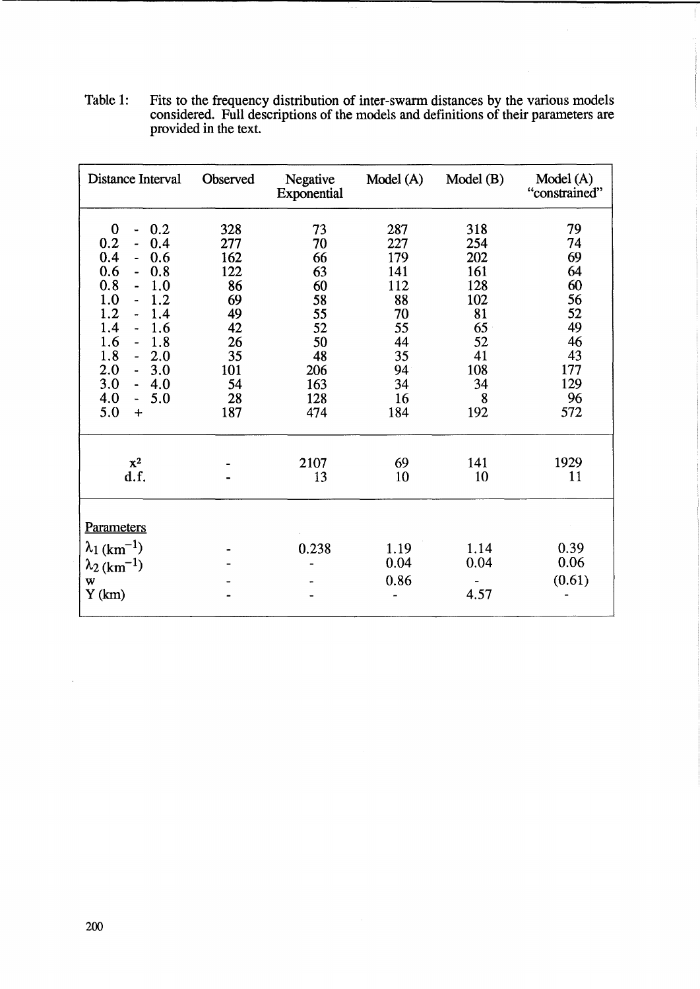| Distance Interval                                                                                                                                                                                                                                                                                                                                                                                    | Observed                                                                               | Negative<br>Exponential                                                              | Model (A)                                                                              | Model(B)                                                                                | Model(A)<br>"constrained"                                                           |
|------------------------------------------------------------------------------------------------------------------------------------------------------------------------------------------------------------------------------------------------------------------------------------------------------------------------------------------------------------------------------------------------------|----------------------------------------------------------------------------------------|--------------------------------------------------------------------------------------|----------------------------------------------------------------------------------------|-----------------------------------------------------------------------------------------|-------------------------------------------------------------------------------------|
| $\bf{0}$<br>0.2<br>0.2<br>0.4<br>÷,<br>0.4<br>0.6<br>$\blacksquare$<br>0.6<br>0.8<br>0.8<br>1.0<br>$\overline{\phantom{0}}$<br>1.0<br>1.2<br>-−<br>1.2<br>1.4<br>1.4<br>1.6<br>$\blacksquare$<br>1.6<br>1.8<br>$\overline{\phantom{a}}$<br>1.8<br>2.0<br>$\overline{\phantom{a}}$<br>2.0<br>3.0<br>$\blacksquare$<br>3.0<br>4.0<br>$\blacksquare$<br>4.0<br>5.0<br>$\frac{1}{2}$<br>5.0<br>$\ddot{}$ | 328<br>277<br>162<br>122<br>86<br>69<br>49<br>42<br>26<br>35<br>101<br>54<br>28<br>187 | 73<br>70<br>66<br>63<br>60<br>58<br>55<br>52<br>50<br>48<br>206<br>163<br>128<br>474 | 287<br>227<br>179<br>141<br>112<br>88<br>70<br>55<br>44<br>35<br>94<br>34<br>16<br>184 | 318<br>254<br>202<br>161<br>128<br>102<br>81<br>65<br>52<br>41<br>108<br>34<br>8<br>192 | 79<br>74<br>69<br>64<br>60<br>56<br>52<br>49<br>46<br>43<br>177<br>129<br>96<br>572 |
| $x^2$<br>d.f.                                                                                                                                                                                                                                                                                                                                                                                        |                                                                                        | 2107<br>13                                                                           | 69<br>10                                                                               | 141<br>10                                                                               | 1929<br>11                                                                          |
| <b>Parameters</b><br>$\lambda_1$ (km <sup>-1</sup> )<br>$\lambda_2$ (km <sup>-1</sup> )<br>W<br>Y(km)                                                                                                                                                                                                                                                                                                |                                                                                        | 0.238                                                                                | 1.19<br>0.04<br>0.86                                                                   | 1.14<br>0.04<br>4.57                                                                    | 0.39<br>0.06<br>(0.61)                                                              |

Table 1: Fits to the frequency distribution of inter-swarm distances by the various models considered. Full descriptions of the models and definitions of their parameters are provided in the text.

 $\bar{L}$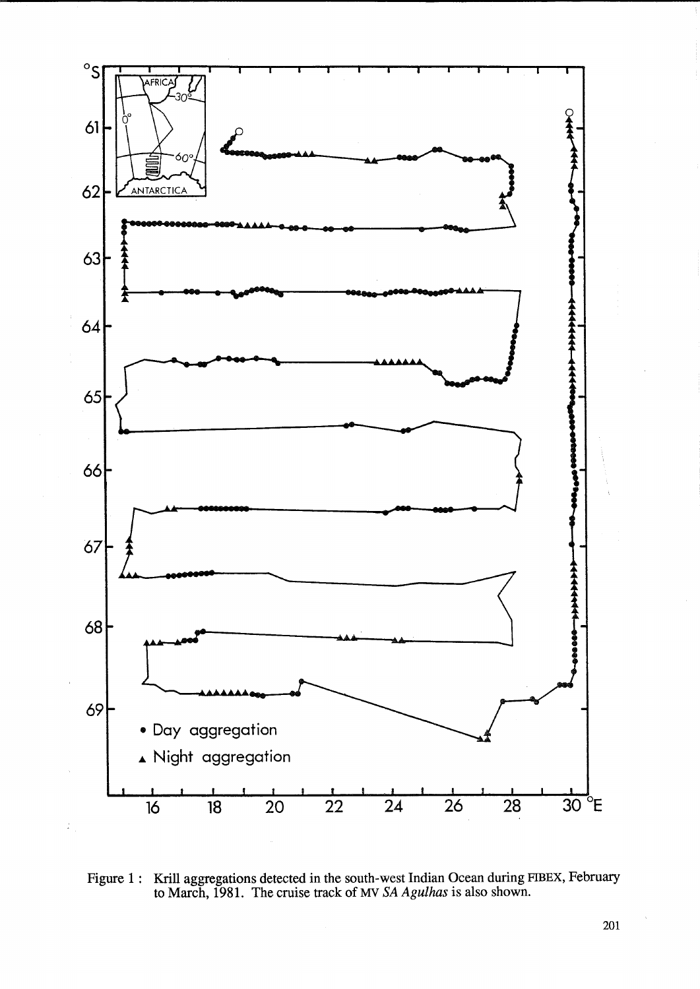

Figure 1: Krill aggregations detected in the south-west Indian Ocean during FIBEX, February to March, 1981. The cruise track of MV *SA Agulhas* is also shown.

201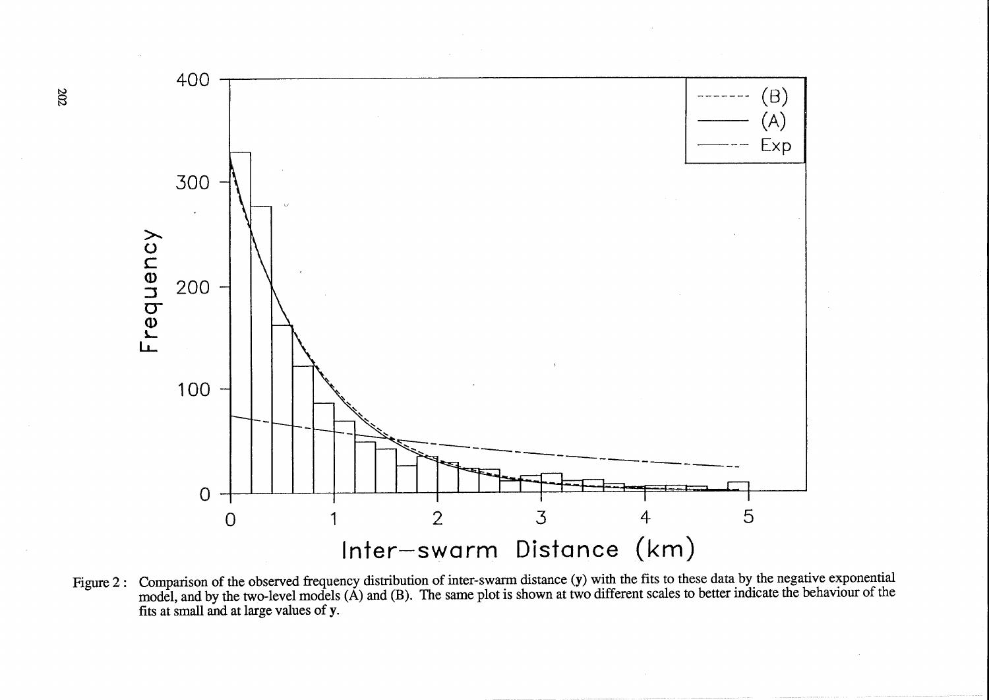

Figure 2: Comparison of the observed frequency distribution of inter-swarm distance (y) with the fits to these data by the negative exponential model, and by the two-level models (A) and (B). The same plot is shown at two different scales to better indicate the behaviour of the fits at small and at large values of y.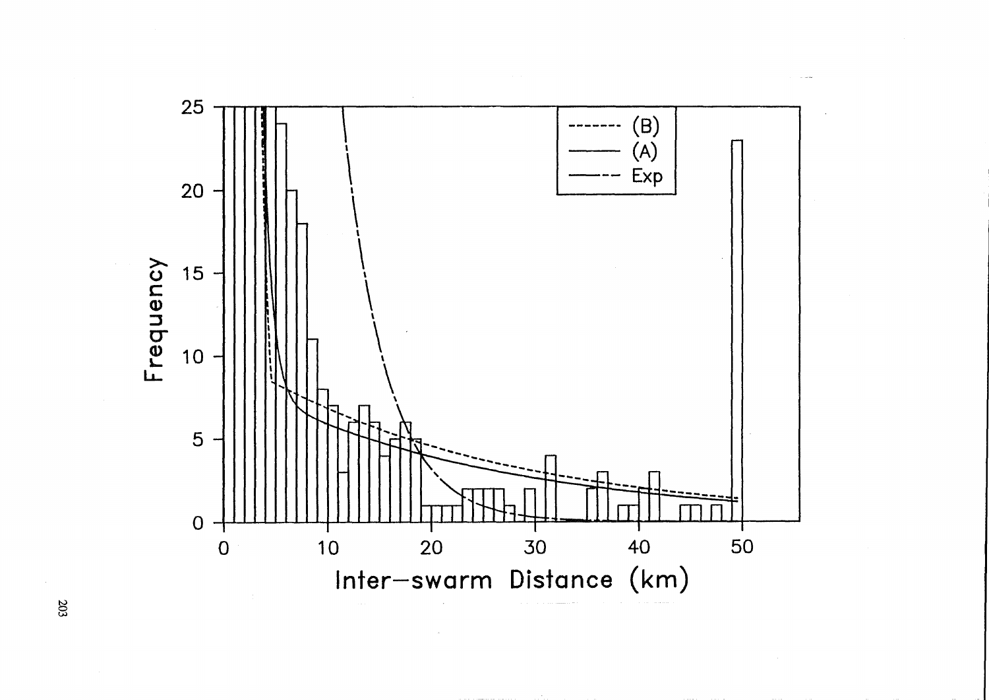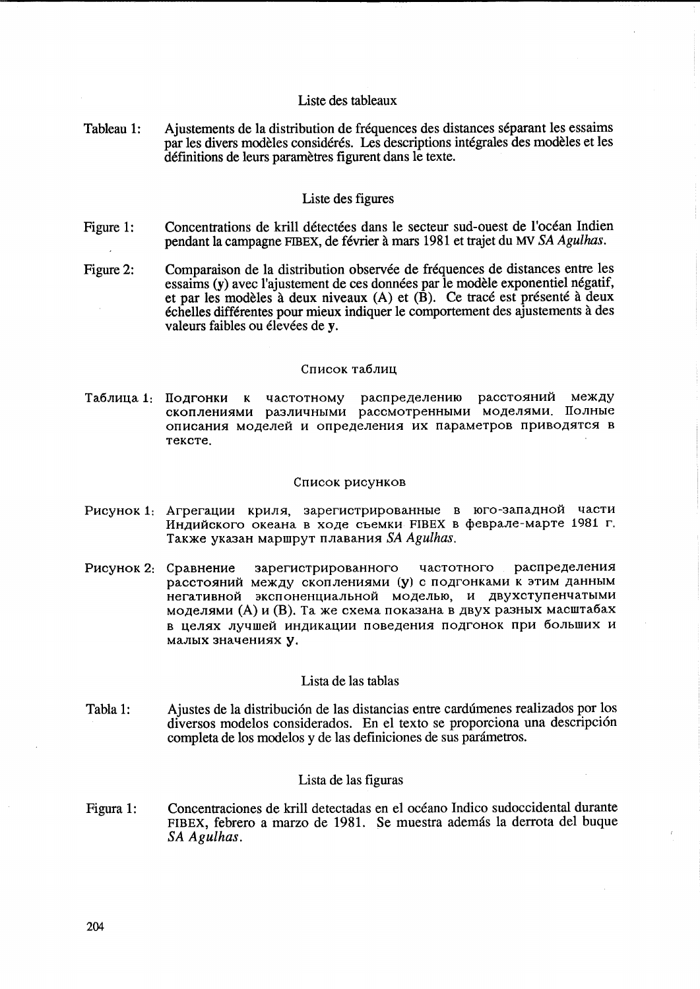# Liste des tableaux

Tableau 1: Ajustements de la distribution de fréquences des distances séparant les essaims par les divers modèles considérés. Les descriptions intégrales des modèles et les définitions de leurs paramètres figurent dans le texte.

# Liste des figures

- Concentrations de krill détectées dans le secteur sud-ouest de l'océan Indien Figure 1: pendant la campagne FIBEX, de février à mars 1981 et trajet du MV SA Agulhas.
- Figure 2: Comparaison de la distribution observée de fréquences de distances entre les essaims (v) avec l'ajustement de ces données par le modèle exponentiel négatif, et par les modèles à deux niveaux (A) et (B). Ce tracé est présenté à deux échelles différentes pour mieux indiquer le comportement des ajustements à des valeurs faibles ou élevées de y.

#### Список таблиц

Таблица 1: Подгонки к частотному распределению расстояний между скоплениями различными рассмотренными моделями. Полные описания моделей и определения их параметров приводятся в тексте.

#### Список рисунков

- Рисунок 1: Агрегации криля, зарегистрированные в юго-западной части Индийского океана в ходе съемки FIBEX в феврале-марте 1981 г. Также указан маршрут плавания SA Agulhas.
- Рисунок 2: Сравнение зарегистрированного частотного распределения расстояний между скоплениями (у) с подгонками к этим данным негативной экспоненциальной моделью, и двухступенчатыми моделями (А) и (В). Та же схема показана в двух разных масштабах в целях лучшей индикации поведения подгонок при больших и малых значениях у.

# Lista de las tablas

Ajustes de la distribución de las distancias entre cardúmenes realizados por los Tabla 1: diversos modelos considerados. En el texto se proporciona una descripción completa de los modelos y de las definiciones de sus parámetros.

### Lista de las figuras

Concentraciones de krill detectadas en el océano Indico sudoccidental durante Figura 1: FIBEX, febrero a marzo de 1981. Se muestra además la derrota del buque SA Agulhas.